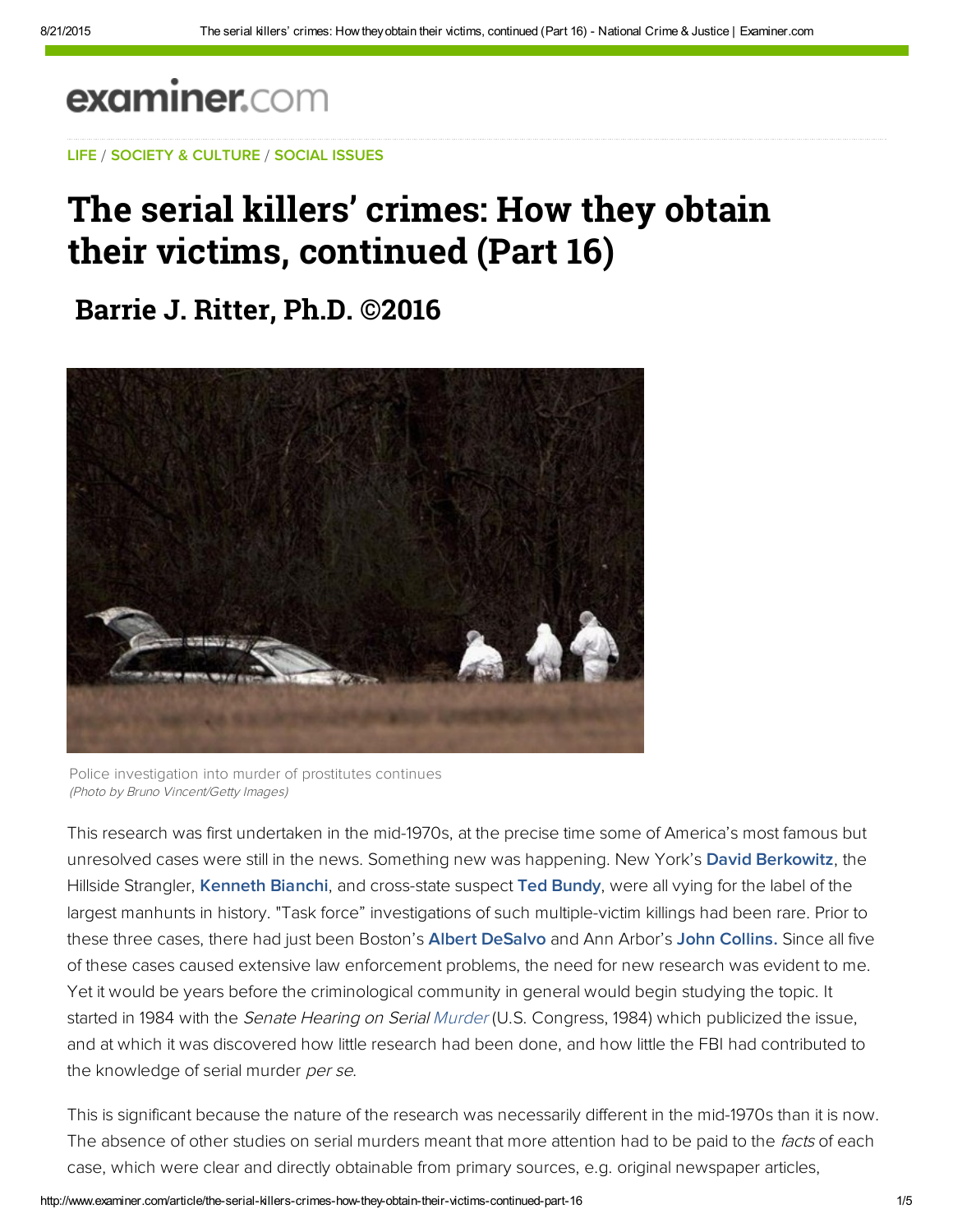# examiner.com

[LIF](http://www.examiner.com/topic/life)[E](https://www.facebook.com/Jack.C.Ritter) / [SOCIETY & CULTURE](http://www.examiner.com/society-and-culture) / [SOCIAL ISSUES](http://www.examiner.com/social-issues)

## [The s](http://web.adblade.com/clicks.php?appId=10176&zid=55ccbe0467627&adId=232985&pos=1&impt=1440186132&zoneId=797&algid=4&reqid=53d47219a17e40bd&ord=1440186132&url=http%3A%2F%2Fwww.examiner.com%2Farticle%2Fthe-serial-killers-crimes-how-they-obtain-their-victims-continued-part-16)[eria](http://www.googleadservices.com/pagead/aclk?sa=L&ai=Ch3qVFH_XVcavAcXgpAOL37XgB-79ldwHpsLAkZoB0dLQ-wEQASCz1c4YYMmm7ozkpMAToAGq7t_VA8gBA-ACAKgDAcgDmQSqBOUBT9BOiEeIGpxLatGEl9msMD8iuzlDLRD2xDG8pvD8gheJetIDY5LpkzqtcS4Uq2krkNCyGiRImVdBD2Fd0ANSr_t3J9L3jlSumR4jk-7aV0pxu07_WRcC_LJloaBwwygJb5NQBrWwH7tKKKoCbEzuYrhoHWXwVQ-pG5gmDV0muQ46ioWJirX9ipme5E1Ao19njPklP2JqZOjAfNU_Tb6gDPShjZQshRJtQ6OXRSnKudGfb5fSKwTc-PPc7Rv9M0N_LZKx39jeLWKLzMn0AzSWX5N4oQ6h8qbWKz7YzjlPr6VAh05k6OAEAYgGAaAGA4AHvpGgKqgHpr4b2AcB&num=1&cid=5GjHPscMdfHN-7RlJP61cjgA&sig=AOD64_2poijW0v8BFMVrmiCJ6H71SLaEiQ&client=ca-pub-0759409614920411&adurl=https://www.dollarshaveclub.com%3Futm_source%3Dgdn%26utm_medium%3Ddisplay%26utm_content%3Dday_30%26utm_campaign%3Ddco_amazing_300x250%26cvosrc%3Ddisplay.gdn.dco_amazing_300x250_day_30)[l killers'](http://web.adblade.com/clicks.php?appId=10176&zid=559ec59b46029&adId=221045&pos=2&impt=1440186132&zoneId=797&algid=4&reqid=53d47219a17e40bd&ord=1440186132&url=http%3A%2F%2Fwww.examiner.com%2Farticle%2Fthe-serial-killers-crimes-how-they-obtain-their-victims-continued-part-16) [c](http://www.googleadservices.com/pagead/aclk?sa=L&ai=Ch3qVFH_XVcavAcXgpAOL37XgB-79ldwHpsLAkZoB0dLQ-wEQASCz1c4YYMmm7ozkpMAToAGq7t_VA8gBA-ACAKgDAcgDmQSqBOUBT9BOiEeIGpxLatGEl9msMD8iuzlDLRD2xDG8pvD8gheJetIDY5LpkzqtcS4Uq2krkNCyGiRImVdBD2Fd0ANSr_t3J9L3jlSumR4jk-7aV0pxu07_WRcC_LJloaBwwygJb5NQBrWwH7tKKKoCbEzuYrhoHWXwVQ-pG5gmDV0muQ46ioWJirX9ipme5E1Ao19njPklP2JqZOjAfNU_Tb6gDPShjZQshRJtQ6OXRSnKudGfb5fSKwTc-PPc7Rv9M0N_LZKx39jeLWKLzMn0AzSWX5N4oQ6h8qbWKz7YzjlPr6VAh05k6OAEAYgGAaAGA4AHvpGgKqgHpr4b2AcB&num=1&cid=5GjHPscMdfHN-7RlJP61cjgA&sig=AOD64_2poijW0v8BFMVrmiCJ6H71SLaEiQ&client=ca-pub-0759409614920411&adurl=https://www.dollarshaveclub.com%3Futm_source%3Dgdn%26utm_medium%3Ddisplay%26utm_content%3Dday_30%26utm_campaign%3Ddco_amazing_300x250%26cvosrc%3Ddisplay.gdn.dco_amazing_300x250_day_30)rimes: How they obtain **their** victims, continued (Part 16)

**[Barrie J. R](http://web.adblade.com/clicks.php?appId=10176&zid=55d223b09d25a&adId=234253&pos=3&impt=1440186132&zoneId=797&algid=4&reqid=53d47219a17e40bd&ord=1440186132&url=http%3A%2F%2Fwww.examiner.com%2Farticle%2Fthe-serial-killers-crimes-how-they-obtain-their-victims-continued-part-16)[itter, Ph.D. ©](http://web.adblade.com/clicks.php?appId=10176&zid=55b66d43587ae&adId=226586&pos=4&impt=1440186132&zoneId=797&algid=4&reqid=53d47219a17e40bd&ord=1440186132&url=http%3A%2F%2Fwww.examiner.com%2Farticle%2Fthe-serial-killers-crimes-how-they-obtain-their-victims-continued-part-16)2016**



Police investigation into murder of prostitutes continues (Photo by Bruno Vincent/Getty Images)

This research was first undertaken in the mid‑1970s, at the precise time some of America's most famous but unresolved cases were still in the news. Something new was happening. New York's [David Berkowitz,](http://bit.ly/QiMPFC) the Hillside Strangler, [Kenneth Bianchi](http://bit.ly/LwXJrA), and cross-state suspect [Ted Bundy](http://bit.ly/HDyeU5), were all vying for the label of the largest manhunts in history. "Task force" investigations of such multiple-victim killings had been rare. Prior to these three cases, there had just been Boston's **Albert DeSalvo** and Ann Arbor's [John Collins. S](http://bit.ly/GHQ064)ince all five of these cases caused extensive law enforcement problems, the need for new research was evident to me. Yet it would be years before the criminological community in general would begin studying the topic. It started in 1984 with the Senate Hearing on Serial [Murder](http://www.examiner.com/topic/murder) (U.S. Congress, 1984) which publicized the issue, and at which it was discovered how little research had been done, and how little the FBI had contributed to the knowledge of serial murder per se.

This is significant because the nature of the research was necessarily different in the mid-1970s than it is now. The absence of other studies on serial murders meant that more attention had to be paid to the facts of each case, which were clear and directly obtainable from primary sources, e.g. original newspaper articles,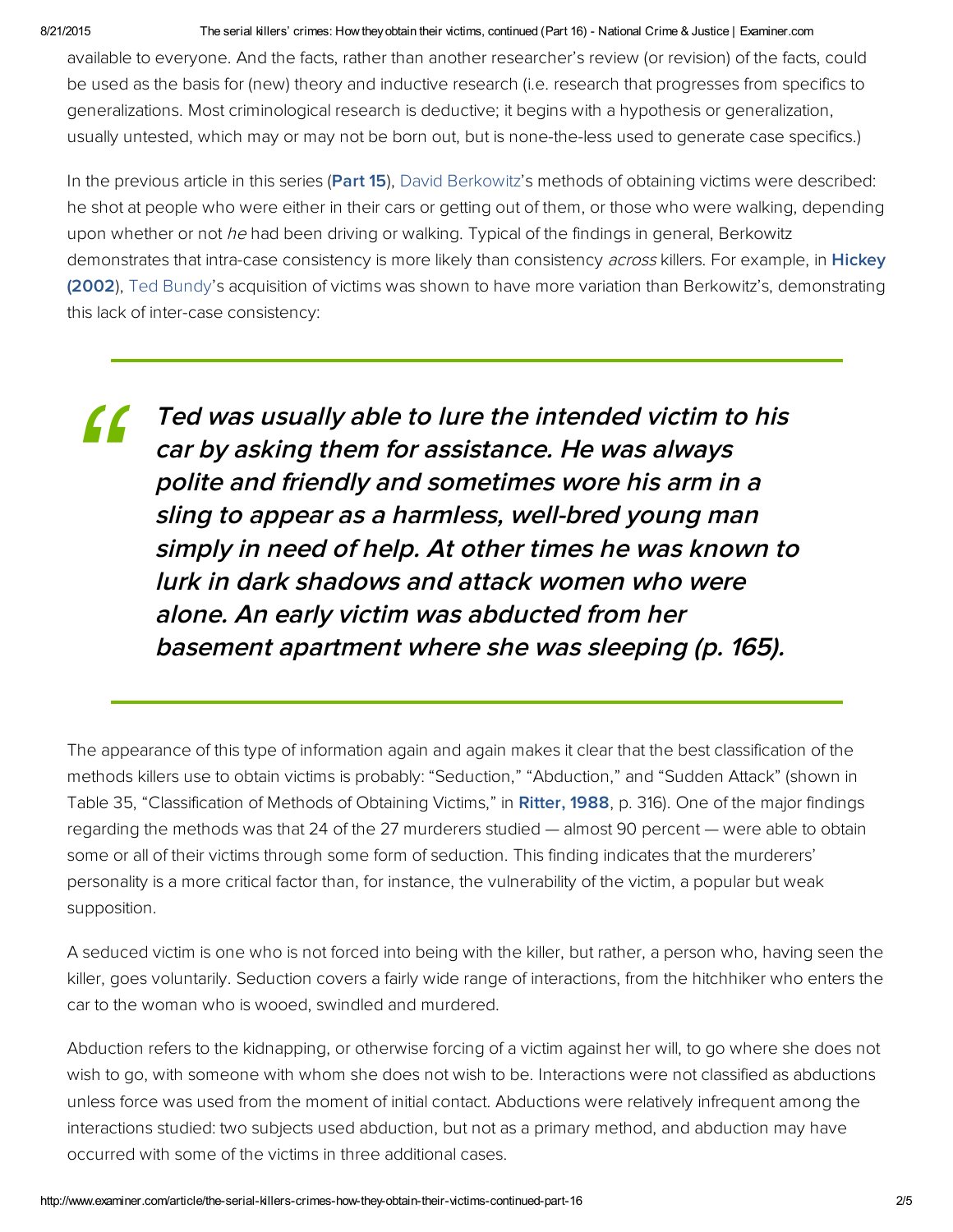#### 8/21/2015 The serial killers' crimes: How theyobtain their victims, continued (Part 16) National Crime & Justice | Examiner.com

available to everyone. And the facts, rather than another researcher's review (or revision) of the facts, could be used as the basis for (new) theory and inductive research (i.e. research that progresses from specifics to generalizations. Most criminological research is deductive; it begins with a hypothesis or generalization, usually untested, which may or may not be born out, but is none-the-less used to generate case specifics.)

In the previous article in this series [\(Part](http://exm.nr/PjZtzZ) 15), David [Berkowitz'](http://www.examiner.com/topic/david-berkowitz)s methods of obtaining victims were described: he shot at people who were either in their cars or getting out of them, or those who were walking, depending upon whether or not he had been driving or walking. Typical of the findings in general, Berkowitz demonstrates that intra-case consistency is more likely than consistency *across* killers. For example, in Hickey (2002), Ted [Bundy](http://www.examiner.com/topic/ted-bundy)'s acquisition of victims was shown to have more variation than Berkowitz's, [demonstrating](http://bit.ly/MXUd8Y) this lack of inter-case consistency:

Ted was usually able to lure the intended victim to his car by asking them for assistance. He was always polite and friendly and sometimes wore his arm in <sup>a</sup> sling to appear as a harmless, well-bred young man simply in need of help. At other times he was known to lurk in dark shadows and attack women who were alone. An early victim was abducted from her basement apartment where she was sleeping (p. 165). *["](http://pubnation.com/)*

The appearance of this type of information again and again makes it clear that the best classification of the methods killers use to obtain victims is probably: "Seduction," "Abduction," and "Sudden Attack" (shown in Table 35, "Classification of Methods of Obtaining Victims," in [Ritter,](http://bit.ly/JDhg7K) 1988, p. 316). One of the major findings regarding the methods was that 24 of the 27 murderers studied — almost 90 percent — were able to obtain some or all of their victims through some form of seduction. This finding indicates that the murderers' personality is a more critical factor than, for instance, the vulnerability of the victim, a popular but weak supposition.

A seduced victim is one who is not forced into being with the killer, but rather, a person who, having seen the killer, goes voluntarily. Seduction covers a fairly wide range of interactions, from the hitchhiker who enters the car to the woman who is wooed, swindled and murdered.

Abduction refers to the kidnapping, or otherwise forcing of a victim against her will, to go where she does not wish to go, with someone with whom she does not wish to be. Interactions were not classified as abductions unless force was used from the moment of initial contact. Abductions were relatively infrequent among the interactions studied: two subjects used abduction, but not as a primary method, and abduction may have occurred with some of the victims in three additional cases.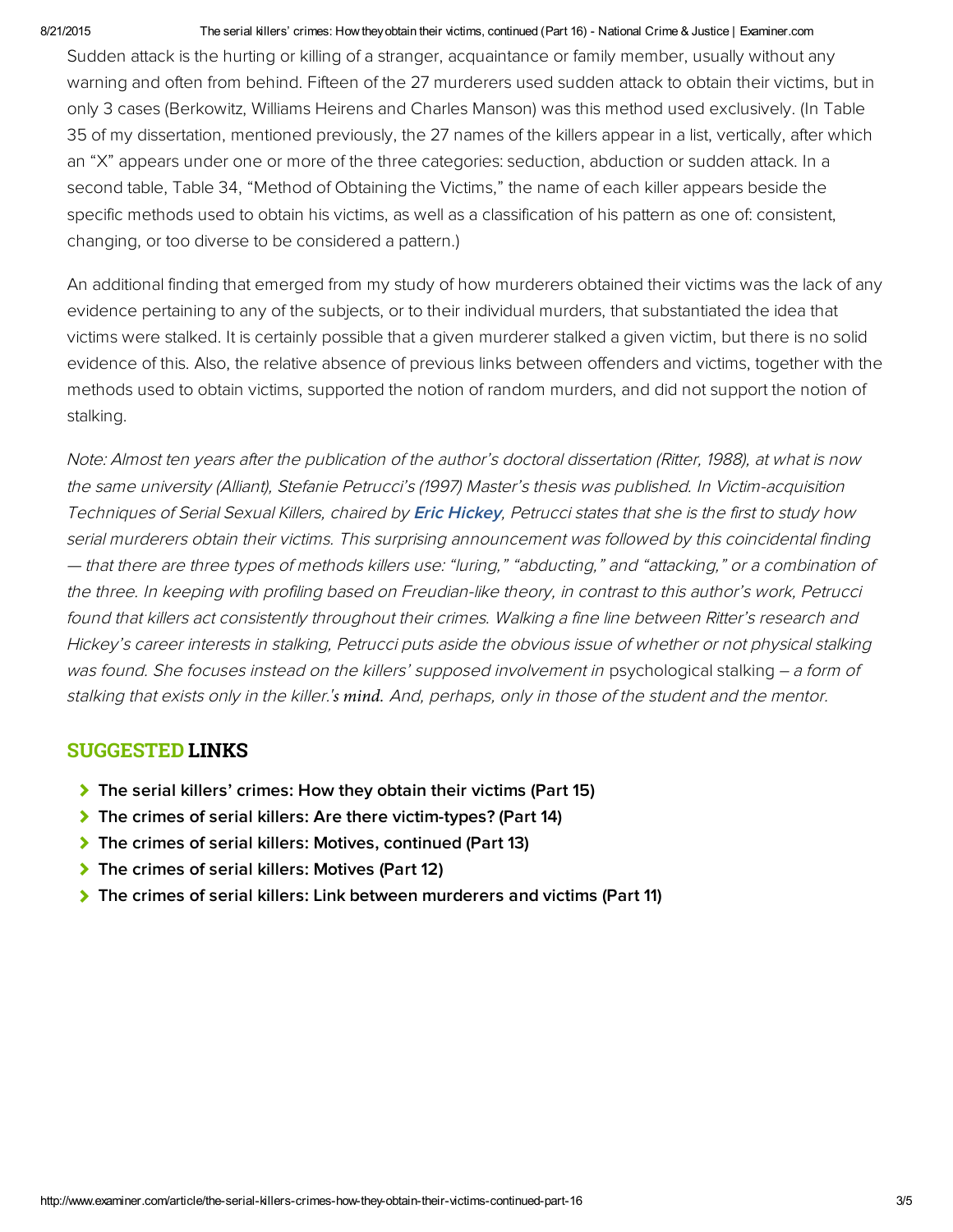#### 8/21/2015 The serial killers' crimes: How they obtain their victims, continued (Part 16) National Crime & Justice | Examiner.com

Sudden attack is the hurting or killing of a stranger, acquaintance or family member, usually without any warning and often from behind. Fifteen of the 27 murderers used sudden attack to obtain their victims, but in only 3 cases (Berkowitz, Williams Heirens and Charles Manson) was this method used exclusively. (In Table 35 of my dissertation, mentioned previously, the 27 names of the killers appear in a list, vertically, after which an "X" appears under one or more of the three categories: seduction, abduction or sudden attack. In a second table, Table 34, "Method of Obtaining the Victims," the name of each killer appears beside the specific methods used to obtain his victims, as well as a classification of his pattern as one of: consistent, changing, or too diverse to be considered a pattern.)

An additional finding that emerged from my study of how murderers obtained their victims was the lack of any evidence pertaining to any of the subjects, or to their individual murders, that substantiated the idea that victims were stalked. It is certainly possible that a given murderer stalked a given victim, but there is no solid evidence of this. Also, the relative absence of previous links between offenders and victims, together with the methods used to obtain victims, supported the notion of random murders, and did not support the notion of stalking.

Note: Almost ten years after the publication of the author's doctoral dissertation (Ritter, 1988), at what is now the same university (Alliant), Stefanie Petrucci's (1997) Master's thesis was published. In Victim‑acquisition Techniques of Serial Sexual Killers, chaired by [Eric Hickey,](http://bit.ly/MXU4Cm) Petrucci states that she is the first to study how serial murderers obtain their victims. This surprising announcement was followed by this coincidental finding — that there are three types of methods killers use: "luring," "abducting," and "attacking," or a combination of the three. In keeping with profiling based on Freudian‑like theory, in contrast to this author's work, Petrucci found that killers act consistently throughout their crimes. Walking a fine line between Ritter's research and Hickey's career interests in stalking, Petrucci puts aside the obvious issue of whether or not physical stalking was found. She focuses instead on the killers' supposed involvement in psychological stalking  $-$  a form of stalking that exists only in the killer.*'s mind.* And, perhaps, only in those of the student and the mentor.

### SUGGESTED LINKS

- [The serial killers' crimes: How they obtain their victims \(Part 15\)](http://www.examiner.com/article/the-serial-killers-crimes-how-they-obtain-their-victims-part-15-1)
- [The crimes of serial killers: Are there victim-types? \(Part 14\)](http://www.examiner.com/article/the-crimes-of-serial-killers-are-there-victim-types-part-14)
- [The crimes of serial killers: Motives, continued \(Part 13\)](http://www.examiner.com/article/the-crimes-of-serial-killers-motives-continued-part-13)
- [The crimes of serial killers: Motives \(Part 12\)](http://www.examiner.com/article/the-crimes-of-serial-killers-motives-part-12)
- [The crimes of serial killers: Link between murderers and victims \(Part 11\)](http://www.examiner.com/article/the-crimes-of-serial-killers-link-between-murderers-and-victims-part-11)